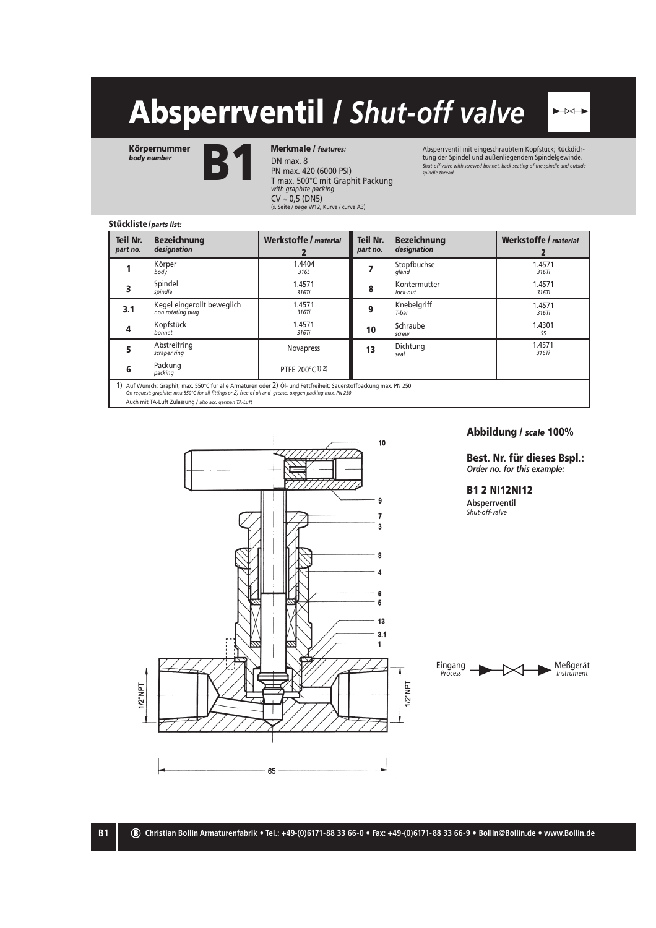# Absperrventil / *Shut-off valve*

Körpernummer *body number*



DN max. 8 PN max. 420 (6000 PSI) T max. 500°C mit Graphit Packung *with graphite packing* Merkmale / *features:*

**CV ≈ 0,5 (DN5)**<br>(s. Seite / *page* W12, Kurve / curve A3)

Absperrventil mit eingeschraubtem Kopfstück; Rückdichtung der Spindel und außenliegendem Spindelgewinde. *Shut-off valve with screwed bonnet, back seating of the spindle and outside spindle thread.*

 $\overline{\mathbb{R}}$ 

## Stückliste/ *parts list:*

| <b>Teil Nr.</b><br>part no.                                                                                                                                                                                                    | <b>Bezeichnung</b><br>designation               | Werkstoffe / material       | Teil Nr.<br>part no. | <b>Bezeichnung</b><br>designation | Werkstoffe / material |  |  |  |  |  |
|--------------------------------------------------------------------------------------------------------------------------------------------------------------------------------------------------------------------------------|-------------------------------------------------|-----------------------------|----------------------|-----------------------------------|-----------------------|--|--|--|--|--|
|                                                                                                                                                                                                                                | Körper<br>body                                  | 1.4404<br>316L              |                      | Stopfbuchse<br>gland              | 1.4571<br>316Ti       |  |  |  |  |  |
|                                                                                                                                                                                                                                | Spindel<br>spindle                              | 1.4571<br>316Ti             | 8                    | Kontermutter<br>lock-nut          | 1.4571<br>316Ti       |  |  |  |  |  |
| 3.1                                                                                                                                                                                                                            | Kegel eingerollt beweglich<br>non rotating plug | 1.4571<br>316Ti             | 9                    | Knebelgriff<br>T-bar              | 1.4571<br>316Ti       |  |  |  |  |  |
| 4                                                                                                                                                                                                                              | Kopfstück<br>bonnet                             | 1.4571<br>316Ti             | 10                   | Schraube<br>screw                 | 1.4301<br>SS          |  |  |  |  |  |
| 5                                                                                                                                                                                                                              | Abstreifring<br>scraper ring                    | <b>Novapress</b>            | 13                   | Dichtung<br>seal                  | 1.4571<br>316Ti       |  |  |  |  |  |
| 6                                                                                                                                                                                                                              | Packung<br>packing                              | PTFE 200°C <sup>1)</sup> 2) |                      |                                   |                       |  |  |  |  |  |
| 1) Auf Wunsch: Graphit; max. 550°C für alle Armaturen oder 2) Öl- und Fettfreiheit: Sauerstoffpackung max. PN 250<br>On request: graphite; max 550°C for all fittings or 2) free of oil and grease: oxygen packing max. PN 250 |                                                 |                             |                      |                                   |                       |  |  |  |  |  |

Auch mit TA-Luft Zulassung / *also acc. german TA-Luft*



### Abbildung / *scale* 100%

Best. Nr. für dieses Bspl.: *Order no. for this example:*

## B1 2 NI12NI12 **Absperrventil**

*Shut-off-valve*